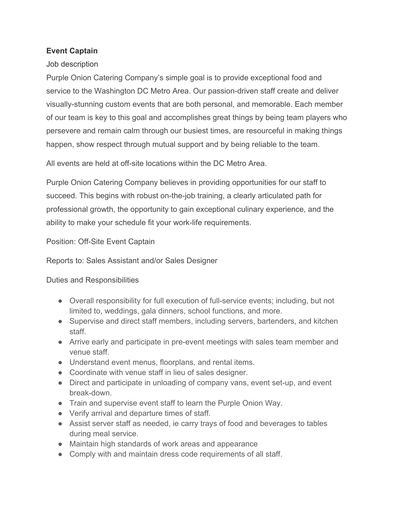## **Event Captain**

## Job description

Purple Onion Catering Company's simple goal is to provide exceptional food and service to the Washington DC Metro Area. Our passion-driven staff create and deliver visually-stunning custom events that are both personal, and memorable. Each member of our team is key to this goal and accomplishes great things by being team players who persevere and remain calm through our busiest times, are resourceful in making things happen, show respect through mutual support and by being reliable to the team.

All events are held at off-site locations within the DC Metro Area.

Purple Onion Catering Company believes in providing opportunities for our staff to succeed. This begins with robust on-the-job training, a clearly articulated path for professional growth, the opportunity to gain exceptional culinary experience, and the ability to make your schedule fit your work-life requirements.

Position: Off-Site Event Captain

Reports to: Sales Assistant and/or Sales Designer

Duties and Responsibilities

- Overall responsibility for full execution of full-service events; including, but not limited to, weddings, gala dinners, school functions, and more.
- Supervise and direct staff members, including servers, bartenders, and kitchen staff.
- Arrive early and participate in pre-event meetings with sales team member and venue staff.
- Understand event menus, floorplans, and rental items.
- Coordinate with venue staff in lieu of sales designer.
- Direct and participate in unloading of company vans, event set-up, and event break-down.
- Train and supervise event staff to learn the Purple Onion Way.
- Verify arrival and departure times of staff.
- Assist server staff as needed, ie carry trays of food and beverages to tables during meal service.
- Maintain high standards of work areas and appearance
- Comply with and maintain dress code requirements of all staff.